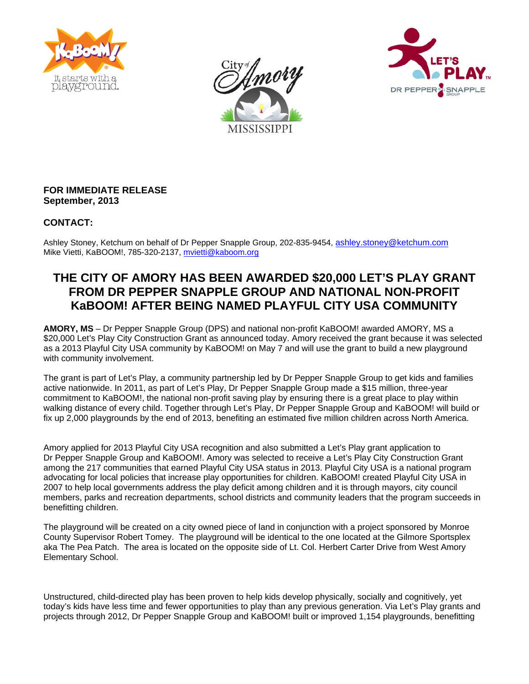





### **FOR IMMEDIATE RELEASE September, 2013**

## **CONTACT:**

Ashley Stoney, Ketchum on behalf of Dr Pepper Snapple Group, 202-835-9454, [ashley.stoney@ketchum.com](mailto:ashley.stoney@ketchum.com) Mike Vietti, KaBOOM!, 785-320-2137, [mvietti@kaboom.org](mailto:mvietti@kaboom.org)

# **THE CITY OF AMORY HAS BEEN AWARDED \$20,000 LET'S PLAY GRANT FROM DR PEPPER SNAPPLE GROUP AND NATIONAL NON-PROFIT KaBOOM! AFTER BEING NAMED PLAYFUL CITY USA COMMUNITY**

**AMORY, MS** – Dr Pepper Snapple Group (DPS) and national non-profit KaBOOM! awarded AMORY, MS a \$20,000 Let's Play City Construction Grant as announced today. Amory received the grant because it was selected as a 2013 Playful City USA community by KaBOOM! on May 7 and will use the grant to build a new playground with community involvement.

The grant is part of Let's Play, a community partnership led by Dr Pepper Snapple Group to get kids and families active nationwide. In 2011, as part of Let's Play, Dr Pepper Snapple Group made a \$15 million, three-year commitment to KaBOOM!, the national non-profit saving play by ensuring there is a great place to play within walking distance of every child. Together through Let's Play, Dr Pepper Snapple Group and KaBOOM! will build or fix up 2,000 playgrounds by the end of 2013, benefiting an estimated five million children across North America.

Amory applied for 2013 Playful City USA recognition and also submitted a Let's Play grant application to Dr Pepper Snapple Group and KaBOOM!. Amory was selected to receive a Let's Play City Construction Grant among the 217 communities that earned Playful City USA status in 2013. Playful City USA is a national program advocating for local policies that increase play opportunities for children. KaBOOM! created Playful City USA in 2007 to help local governments address the play deficit among children and it is through mayors, city council members, parks and recreation departments, school districts and community leaders that the program succeeds in benefitting children.

The playground will be created on a city owned piece of land in conjunction with a project sponsored by Monroe County Supervisor Robert Tomey. The playground will be identical to the one located at the Gilmore Sportsplex aka The Pea Patch. The area is located on the opposite side of Lt. Col. Herbert Carter Drive from West Amory Elementary School.

Unstructured, child-directed play has been proven to help kids develop physically, socially and cognitively, yet today's kids have less time and fewer opportunities to play than any previous generation. Via Let's Play grants and projects through 2012, Dr Pepper Snapple Group and KaBOOM! built or improved 1,154 playgrounds, benefitting